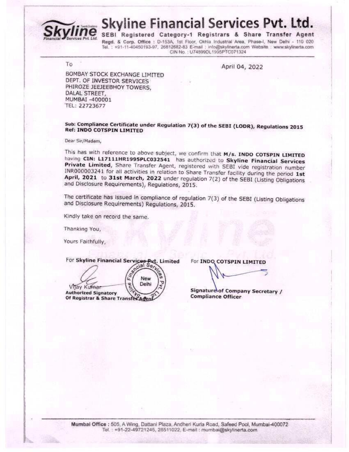

**Skyline Financial Services Pvt. Ltd.** 

SEBI Registered Category-1 Registrars & Share Transfer Agent

Regd. & Corp. Office : D-153A, 1st Floor, Okhla Industrial Area, Phase-I, New Delhi - 110 020 Tel. : +91-11-40450193-97, 26812682-83 E-mail : info@skyllnerta.com Website : www.skylinerta.com CIN No.: U74899DL1995PTC071324

To

April 04, 2022

BOMBAY STOCK EXCHANGE LIMITED DEPT. OF INVESTOR SERVICES PHIROZE JEEJEEBHOY TOWERS, DALAL STREET, MUMBAI -400001 TEL: 22723677

## Sub: Compliance Certificate under Regulation 7(3) of the SEBI (LODR), Regulations 2015 **Ref: INDO COTSPIN LIMITED**

## Dear Sir/Madam,

This has with reference to above subject, we confirm that M/s. INDO COTSPIN LIMITED having CIN: L17111HR1995PLC032541 has authorized to Skyline Financial Services Private Limited, Share Transfer Agent, registered with SEBI vide registration number INR000003241 for all activities in relation to Share Transfer facility during the period 1st April, 2021 to 31st March, 2022 under regulation 7(2) of the SEBI (Listing Obligations and Disclosure Requirements), Regulations, 2015.

The certificate has issued in compliance of regulation 7(3) of the SEBI (Listing Obligations and Disclosure Requirements) Regulations, 2015.

Kindly take on record the same.

Thanking You,

Yours Faithfully,

For Skyline Financial Services Put. Limited<br>  $\sqrt{\frac{e^{c |\mathbf{a}| S_{\phi} \wedge L_{\phi}}}{e^{c |\mathbf{a}| S_{\phi} \wedge L_{\phi}}}}$ New τ Delhi Vilay Kumar **Authorized Signatory** Of Registrar & Share Transfer Adent

For INDO COTSPIN LIMITED

Signature of Company Secretary / **Compliance Officer**